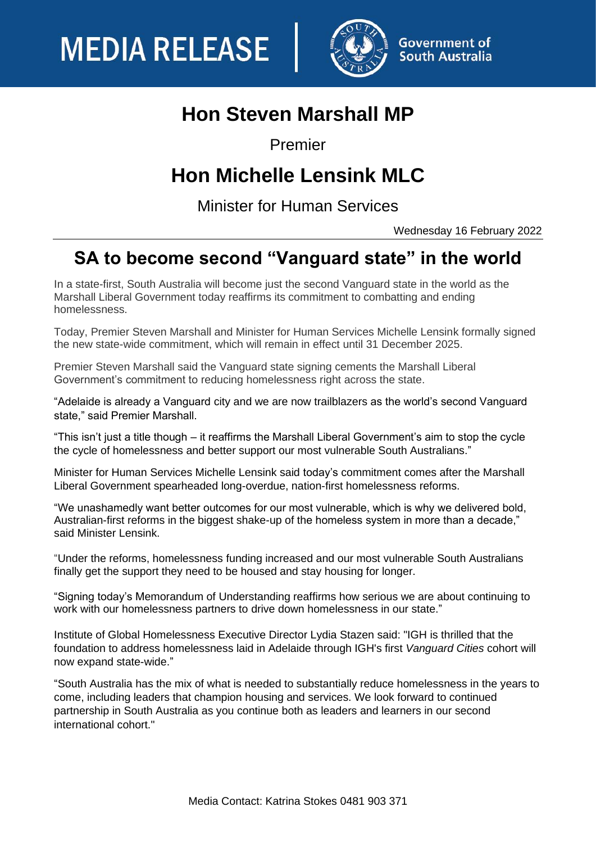

## **Hon Steven Marshall MP**

Premier

## **Hon Michelle Lensink MLC**

Minister for Human Services

Wednesday 16 February 2022

## **SA to become second "Vanguard state" in the world**

In a state-first, South Australia will become just the second Vanguard state in the world as the Marshall Liberal Government today reaffirms its commitment to combatting and ending homelessness.

Today, Premier Steven Marshall and Minister for Human Services Michelle Lensink formally signed the new state-wide commitment, which will remain in effect until 31 December 2025.

Premier Steven Marshall said the Vanguard state signing cements the Marshall Liberal Government's commitment to reducing homelessness right across the state.

"Adelaide is already a Vanguard city and we are now trailblazers as the world's second Vanguard state," said Premier Marshall.

"This isn't just a title though – it reaffirms the Marshall Liberal Government's aim to stop the cycle the cycle of homelessness and better support our most vulnerable South Australians."

Minister for Human Services Michelle Lensink said today's commitment comes after the Marshall Liberal Government spearheaded long-overdue, nation-first homelessness reforms.

"We unashamedly want better outcomes for our most vulnerable, which is why we delivered bold, Australian-first reforms in the biggest shake-up of the homeless system in more than a decade," said Minister Lensink.

"Under the reforms, homelessness funding increased and our most vulnerable South Australians finally get the support they need to be housed and stay housing for longer.

"Signing today's Memorandum of Understanding reaffirms how serious we are about continuing to work with our homelessness partners to drive down homelessness in our state."

Institute of Global Homelessness Executive Director Lydia Stazen said: "IGH is thrilled that the foundation to address homelessness laid in Adelaide through IGH's first *Vanguard Cities* cohort will now expand state-wide."

"South Australia has the mix of what is needed to substantially reduce homelessness in the years to come, including leaders that champion housing and services. We look forward to continued partnership in South Australia as you continue both as leaders and learners in our second international cohort."